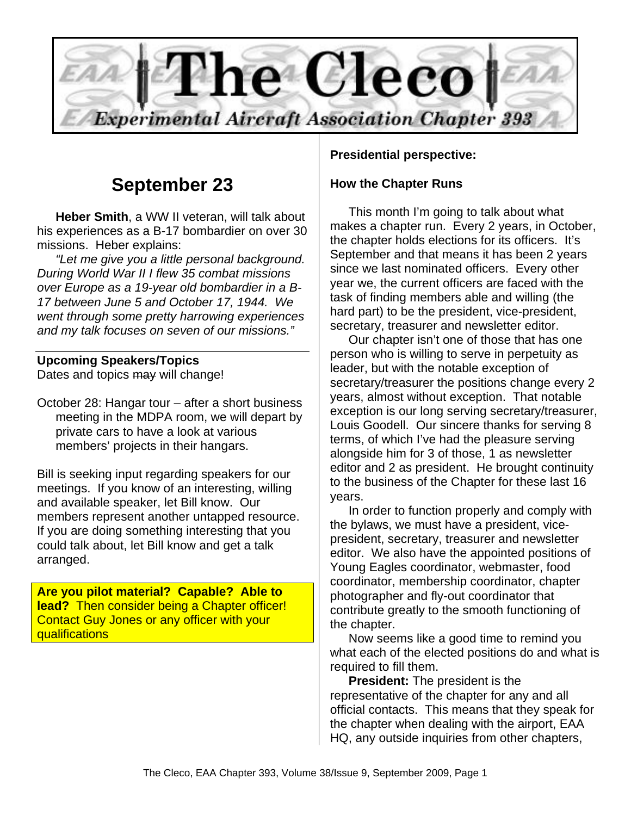

## **September 23**

**Heber Smith**, a WW II veteran, will talk about his experiences as a B-17 bombardier on over 30 missions. Heber explains:

*"Let me give you a little personal background. During World War II I flew 35 combat missions over Europe as a 19-year old bombardier in a B-17 between June 5 and October 17, 1944. We went through some pretty harrowing experiences and my talk focuses on seven of our missions."* 

## **Upcoming Speakers/Topics**

Dates and topics may will change!

October 28: Hangar tour – after a short business meeting in the MDPA room, we will depart by private cars to have a look at various members' projects in their hangars.

Bill is seeking input regarding speakers for our meetings. If you know of an interesting, willing and available speaker, let Bill know. Our members represent another untapped resource. If you are doing something interesting that you could talk about, let Bill know and get a talk arranged.

**Are you pilot material? Capable? Able to lead?** Then consider being a Chapter officer! Contact Guy Jones or any officer with your qualifications

#### **Presidential perspective:**

#### **How the Chapter Runs**

This month I'm going to talk about what makes a chapter run. Every 2 years, in October, the chapter holds elections for its officers. It's September and that means it has been 2 years since we last nominated officers. Every other year we, the current officers are faced with the task of finding members able and willing (the hard part) to be the president, vice-president, secretary, treasurer and newsletter editor.

Our chapter isn't one of those that has one person who is willing to serve in perpetuity as leader, but with the notable exception of secretary/treasurer the positions change every 2 years, almost without exception. That notable exception is our long serving secretary/treasurer, Louis Goodell. Our sincere thanks for serving 8 terms, of which I've had the pleasure serving alongside him for 3 of those, 1 as newsletter editor and 2 as president. He brought continuity to the business of the Chapter for these last 16 years.

In order to function properly and comply with the bylaws, we must have a president, vicepresident, secretary, treasurer and newsletter editor. We also have the appointed positions of Young Eagles coordinator, webmaster, food coordinator, membership coordinator, chapter photographer and fly-out coordinator that contribute greatly to the smooth functioning of the chapter.

Now seems like a good time to remind you what each of the elected positions do and what is required to fill them.

**President:** The president is the representative of the chapter for any and all official contacts. This means that they speak for the chapter when dealing with the airport, EAA HQ, any outside inquiries from other chapters,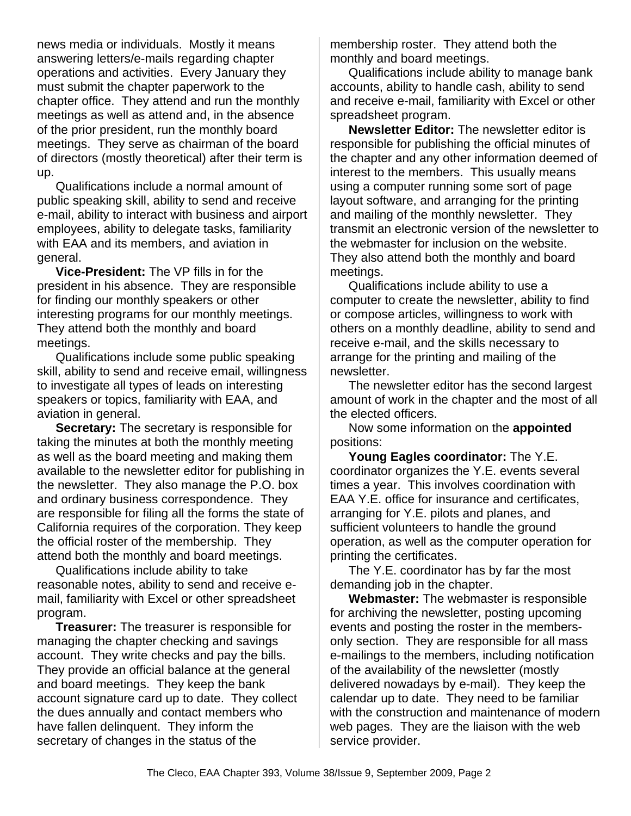news media or individuals. Mostly it means answering letters/e-mails regarding chapter operations and activities. Every January they must submit the chapter paperwork to the chapter office. They attend and run the monthly meetings as well as attend and, in the absence of the prior president, run the monthly board meetings. They serve as chairman of the board of directors (mostly theoretical) after their term is up.

Qualifications include a normal amount of public speaking skill, ability to send and receive e-mail, ability to interact with business and airport employees, ability to delegate tasks, familiarity with EAA and its members, and aviation in general.

**Vice-President:** The VP fills in for the president in his absence. They are responsible for finding our monthly speakers or other interesting programs for our monthly meetings. They attend both the monthly and board meetings.

Qualifications include some public speaking skill, ability to send and receive email, willingness to investigate all types of leads on interesting speakers or topics, familiarity with EAA, and aviation in general.

**Secretary:** The secretary is responsible for taking the minutes at both the monthly meeting as well as the board meeting and making them available to the newsletter editor for publishing in the newsletter. They also manage the P.O. box and ordinary business correspondence. They are responsible for filing all the forms the state of California requires of the corporation. They keep the official roster of the membership. They attend both the monthly and board meetings.

Qualifications include ability to take reasonable notes, ability to send and receive email, familiarity with Excel or other spreadsheet program.

**Treasurer:** The treasurer is responsible for managing the chapter checking and savings account. They write checks and pay the bills. They provide an official balance at the general and board meetings. They keep the bank account signature card up to date. They collect the dues annually and contact members who have fallen delinquent. They inform the secretary of changes in the status of the

membership roster. They attend both the monthly and board meetings.

Qualifications include ability to manage bank accounts, ability to handle cash, ability to send and receive e-mail, familiarity with Excel or other spreadsheet program.

**Newsletter Editor:** The newsletter editor is responsible for publishing the official minutes of the chapter and any other information deemed of interest to the members. This usually means using a computer running some sort of page layout software, and arranging for the printing and mailing of the monthly newsletter. They transmit an electronic version of the newsletter to the webmaster for inclusion on the website. They also attend both the monthly and board meetings.

Qualifications include ability to use a computer to create the newsletter, ability to find or compose articles, willingness to work with others on a monthly deadline, ability to send and receive e-mail, and the skills necessary to arrange for the printing and mailing of the newsletter.

The newsletter editor has the second largest amount of work in the chapter and the most of all the elected officers.

Now some information on the **appointed** positions:

**Young Eagles coordinator:** The Y.E. coordinator organizes the Y.E. events several times a year. This involves coordination with EAA Y.E. office for insurance and certificates, arranging for Y.E. pilots and planes, and sufficient volunteers to handle the ground operation, as well as the computer operation for printing the certificates.

The Y.E. coordinator has by far the most demanding job in the chapter.

**Webmaster:** The webmaster is responsible for archiving the newsletter, posting upcoming events and posting the roster in the membersonly section. They are responsible for all mass e-mailings to the members, including notification of the availability of the newsletter (mostly delivered nowadays by e-mail). They keep the calendar up to date. They need to be familiar with the construction and maintenance of modern web pages. They are the liaison with the web service provider.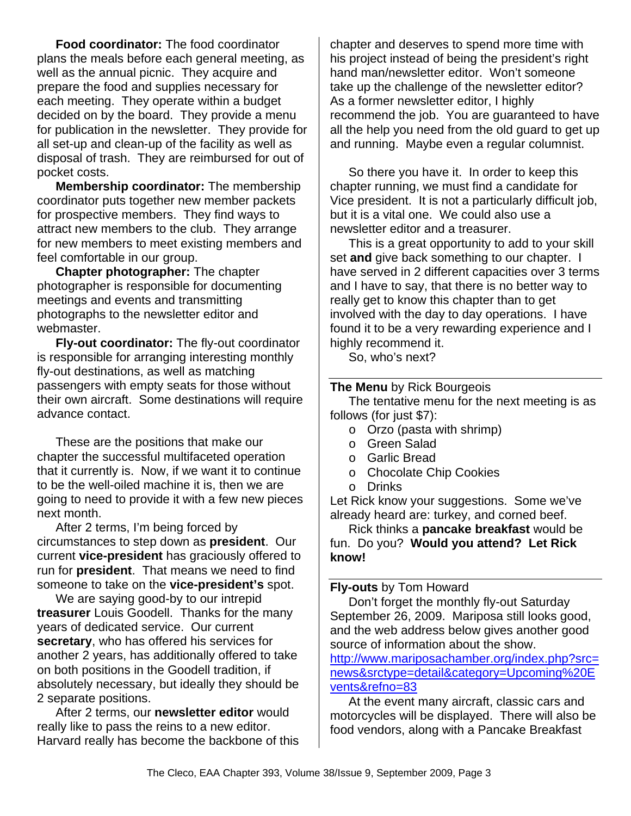**Food coordinator:** The food coordinator plans the meals before each general meeting, as well as the annual picnic. They acquire and prepare the food and supplies necessary for each meeting. They operate within a budget decided on by the board. They provide a menu for publication in the newsletter. They provide for all set-up and clean-up of the facility as well as disposal of trash. They are reimbursed for out of pocket costs.

**Membership coordinator:** The membership coordinator puts together new member packets for prospective members. They find ways to attract new members to the club. They arrange for new members to meet existing members and feel comfortable in our group.

**Chapter photographer:** The chapter photographer is responsible for documenting meetings and events and transmitting photographs to the newsletter editor and webmaster.

**Fly-out coordinator:** The fly-out coordinator is responsible for arranging interesting monthly fly-out destinations, as well as matching passengers with empty seats for those without their own aircraft. Some destinations will require advance contact.

These are the positions that make our chapter the successful multifaceted operation that it currently is. Now, if we want it to continue to be the well-oiled machine it is, then we are going to need to provide it with a few new pieces next month.

After 2 terms, I'm being forced by circumstances to step down as **president**. Our current **vice-president** has graciously offered to run for **president**. That means we need to find someone to take on the **vice-president's** spot.

We are saying good-by to our intrepid **treasurer** Louis Goodell. Thanks for the many years of dedicated service. Our current **secretary**, who has offered his services for another 2 years, has additionally offered to take on both positions in the Goodell tradition, if absolutely necessary, but ideally they should be 2 separate positions.

After 2 terms, our **newsletter editor** would really like to pass the reins to a new editor. Harvard really has become the backbone of this chapter and deserves to spend more time with his project instead of being the president's right hand man/newsletter editor. Won't someone take up the challenge of the newsletter editor? As a former newsletter editor, I highly recommend the job. You are guaranteed to have all the help you need from the old guard to get up and running. Maybe even a regular columnist.

So there you have it. In order to keep this chapter running, we must find a candidate for Vice president. It is not a particularly difficult job, but it is a vital one. We could also use a newsletter editor and a treasurer.

This is a great opportunity to add to your skill set **and** give back something to our chapter. I have served in 2 different capacities over 3 terms and I have to say, that there is no better way to really get to know this chapter than to get involved with the day to day operations. I have found it to be a very rewarding experience and I highly recommend it.

So, who's next?

#### **The Menu** by Rick Bourgeois

The tentative menu for the next meeting is as follows (for just \$7):

- o Orzo (pasta with shrimp)
- o Green Salad
- o Garlic Bread
- o Chocolate Chip Cookies
- o Drinks

Let Rick know your suggestions. Some we've already heard are: turkey, and corned beef.

Rick thinks a **pancake breakfast** would be fun. Do you? **Would you attend? Let Rick know!** 

#### **Fly-outs** by Tom Howard

Don't forget the monthly fly-out Saturday September 26, 2009. Mariposa still looks good, and the web address below gives another good source of information about the show.

http://www.mariposachamber.org/index.php?src= news&srctype=detail&category=Upcoming%20E vents&refno=83

At the event many aircraft, classic cars and motorcycles will be displayed. There will also be food vendors, along with a Pancake Breakfast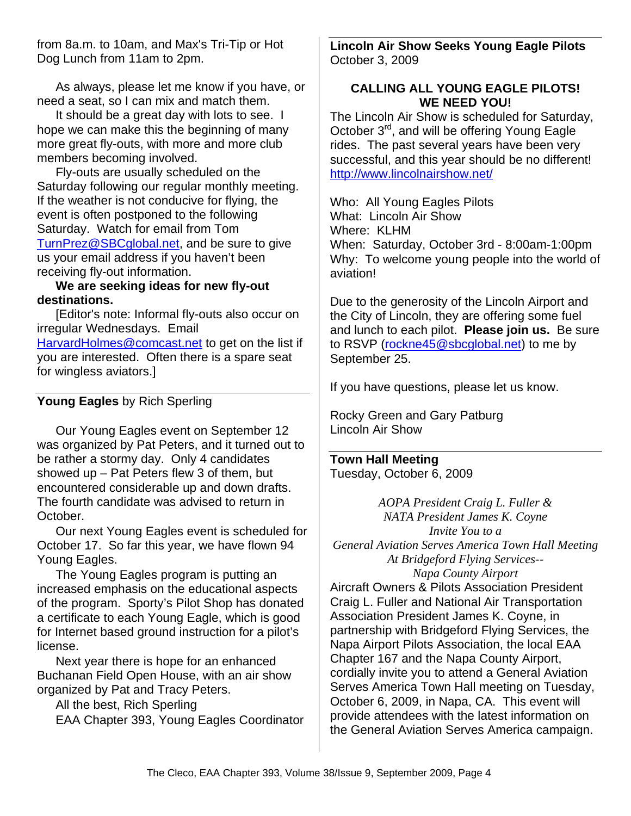from 8a.m. to 10am, and Max's Tri-Tip or Hot Dog Lunch from 11am to 2pm.

As always, please let me know if you have, or need a seat, so I can mix and match them.

It should be a great day with lots to see. I hope we can make this the beginning of many more great fly-outs, with more and more club members becoming involved.

Fly-outs are usually scheduled on the Saturday following our regular monthly meeting. If the weather is not conducive for flying, the event is often postponed to the following Saturday. Watch for email from Tom TurnPrez@SBCglobal.net, and be sure to give us your email address if you haven't been receiving fly-out information.

#### **We are seeking ideas for new fly-out destinations.**

[Editor's note: Informal fly-outs also occur on irregular Wednesdays. Email HarvardHolmes@comcast.net to get on the list if you are interested. Often there is a spare seat for wingless aviators.]

### **Young Eagles** by Rich Sperling

Our Young Eagles event on September 12 was organized by Pat Peters, and it turned out to be rather a stormy day. Only 4 candidates showed up – Pat Peters flew 3 of them, but encountered considerable up and down drafts. The fourth candidate was advised to return in October.

Our next Young Eagles event is scheduled for October 17. So far this year, we have flown 94 Young Eagles.

The Young Eagles program is putting an increased emphasis on the educational aspects of the program. Sporty's Pilot Shop has donated a certificate to each Young Eagle, which is good for Internet based ground instruction for a pilot's license.

Next year there is hope for an enhanced Buchanan Field Open House, with an air show organized by Pat and Tracy Peters.

All the best, Rich Sperling

EAA Chapter 393, Young Eagles Coordinator

**Lincoln Air Show Seeks Young Eagle Pilots**  October 3, 2009

#### **CALLING ALL YOUNG EAGLE PILOTS! WE NEED YOU!**

The Lincoln Air Show is scheduled for Saturday, October 3rd, and will be offering Young Eagle rides. The past several years have been very successful, and this year should be no different! http://www.lincolnairshow.net/

Who: All Young Eagles Pilots What: Lincoln Air Show Where: KLHM When: Saturday, October 3rd - 8:00am-1:00pm Why: To welcome young people into the world of aviation!

Due to the generosity of the Lincoln Airport and the City of Lincoln, they are offering some fuel and lunch to each pilot. **Please join us.** Be sure to RSVP (rockne45@sbcglobal.net) to me by September 25.

If you have questions, please let us know.

Rocky Green and Gary Patburg Lincoln Air Show

**Town Hall Meeting**  Tuesday, October 6, 2009

*AOPA President Craig L. Fuller & NATA President James K. Coyne Invite You to a General Aviation Serves America Town Hall Meeting At Bridgeford Flying Services-- Napa County Airport*  Aircraft Owners & Pilots Association President Craig L. Fuller and National Air Transportation Association President James K. Coyne, in partnership with Bridgeford Flying Services, the Napa Airport Pilots Association, the local EAA Chapter 167 and the Napa County Airport, cordially invite you to attend a General Aviation Serves America Town Hall meeting on Tuesday, October 6, 2009, in Napa, CA. This event will provide attendees with the latest information on the General Aviation Serves America campaign.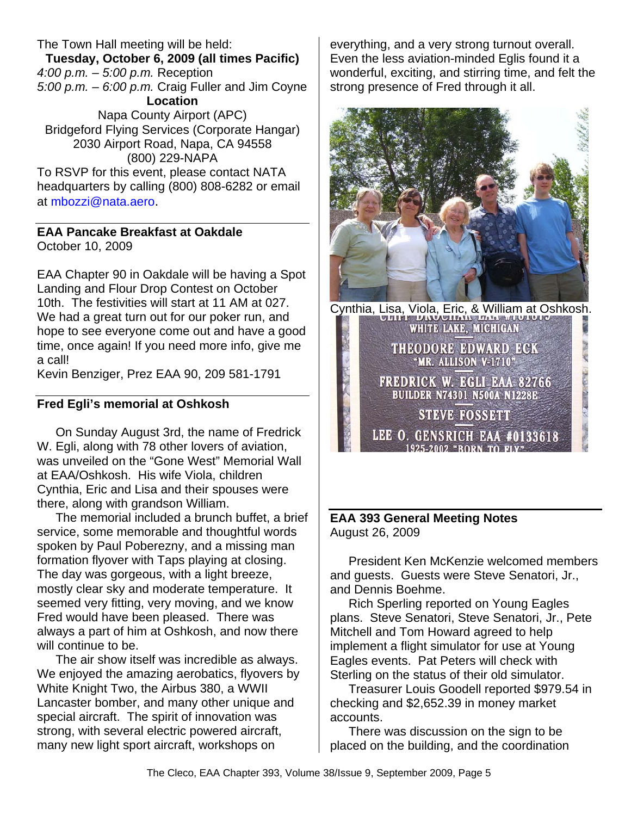The Town Hall meeting will be held: **Tuesday, October 6, 2009 (all times Pacific)**  *4:00 p.m. – 5:00 p.m.* Reception *5:00 p.m. – 6:00 p.m.* Craig Fuller and Jim Coyne **Location**  Napa County Airport (APC) Bridgeford Flying Services (Corporate Hangar) 2030 Airport Road, Napa, CA 94558 (800) 229-NAPA To RSVP for this event, please contact NATA headquarters by calling (800) 808-6282 or email

at mbozzi@nata.aero.

### **EAA Pancake Breakfast at Oakdale**

October 10, 2009

EAA Chapter 90 in Oakdale will be having a Spot Landing and Flour Drop Contest on October 10th. The festivities will start at 11 AM at 027. We had a great turn out for our poker run, and hope to see everyone come out and have a good time, once again! If you need more info, give me a call!

Kevin Benziger, Prez EAA 90, 209 581-1791

#### **Fred Egli's memorial at Oshkosh**

On Sunday August 3rd, the name of Fredrick W. Egli, along with 78 other lovers of aviation, was unveiled on the "Gone West" Memorial Wall at EAA/Oshkosh. His wife Viola, children Cynthia, Eric and Lisa and their spouses were there, along with grandson William.

The memorial included a brunch buffet, a brief service, some memorable and thoughtful words spoken by Paul Poberezny, and a missing man formation flyover with Taps playing at closing. The day was gorgeous, with a light breeze, mostly clear sky and moderate temperature. It seemed very fitting, very moving, and we know Fred would have been pleased. There was always a part of him at Oshkosh, and now there will continue to be.

The air show itself was incredible as always. We enjoyed the amazing aerobatics, flyovers by White Knight Two, the Airbus 380, a WWII Lancaster bomber, and many other unique and special aircraft. The spirit of innovation was strong, with several electric powered aircraft, many new light sport aircraft, workshops on

everything, and a very strong turnout overall. Even the less aviation-minded Eglis found it a wonderful, exciting, and stirring time, and felt the strong presence of Fred through it all.



Cynthia, Lisa, Viola, Eric, & William at Oshkosh. WHITE LAKE, MICHIGAN Super of American on the **THEODORE EDWARD ECK** "MR. ALLISON V-1710" **FREDRICK W. EGLI EAA 82766 BUILDER N74301 N500A N1228E STEVE FOSSETT** LEE O. GENSRICH EAA #0133618 1925-2002 "BORN TO FLY"

#### **EAA 393 General Meeting Notes**  August 26, 2009

President Ken McKenzie welcomed members and guests. Guests were Steve Senatori, Jr., and Dennis Boehme.

Rich Sperling reported on Young Eagles plans. Steve Senatori, Steve Senatori, Jr., Pete Mitchell and Tom Howard agreed to help implement a flight simulator for use at Young Eagles events. Pat Peters will check with Sterling on the status of their old simulator.

Treasurer Louis Goodell reported \$979.54 in checking and \$2,652.39 in money market accounts.

There was discussion on the sign to be placed on the building, and the coordination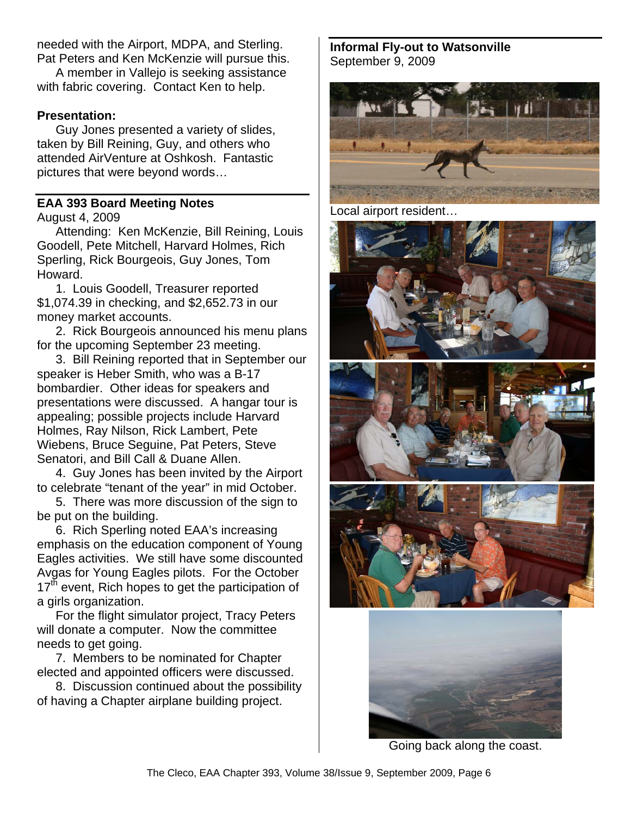needed with the Airport, MDPA, and Sterling. Pat Peters and Ken McKenzie will pursue this.

A member in Vallejo is seeking assistance with fabric covering. Contact Ken to help.

#### **Presentation:**

Guy Jones presented a variety of slides, taken by Bill Reining, Guy, and others who attended AirVenture at Oshkosh. Fantastic pictures that were beyond words…

#### **EAA 393 Board Meeting Notes**

August 4, 2009

Attending: Ken McKenzie, Bill Reining, Louis Goodell, Pete Mitchell, Harvard Holmes, Rich Sperling, Rick Bourgeois, Guy Jones, Tom Howard.

1. Louis Goodell, Treasurer reported \$1,074.39 in checking, and \$2,652.73 in our money market accounts.

2. Rick Bourgeois announced his menu plans for the upcoming September 23 meeting.

3. Bill Reining reported that in September our speaker is Heber Smith, who was a B-17 bombardier. Other ideas for speakers and presentations were discussed. A hangar tour is appealing; possible projects include Harvard Holmes, Ray Nilson, Rick Lambert, Pete Wiebens, Bruce Seguine, Pat Peters, Steve Senatori, and Bill Call & Duane Allen.

4. Guy Jones has been invited by the Airport to celebrate "tenant of the year" in mid October.

5. There was more discussion of the sign to be put on the building.

6. Rich Sperling noted EAA's increasing emphasis on the education component of Young Eagles activities. We still have some discounted Avgas for Young Eagles pilots. For the October  $17<sup>th</sup>$  event, Rich hopes to get the participation of a girls organization.

For the flight simulator project, Tracy Peters will donate a computer. Now the committee needs to get going.

7. Members to be nominated for Chapter elected and appointed officers were discussed.

8. Discussion continued about the possibility of having a Chapter airplane building project.

**Informal Fly-out to Watsonville** September 9, 2009



Local airport resident…







Going back along the coast.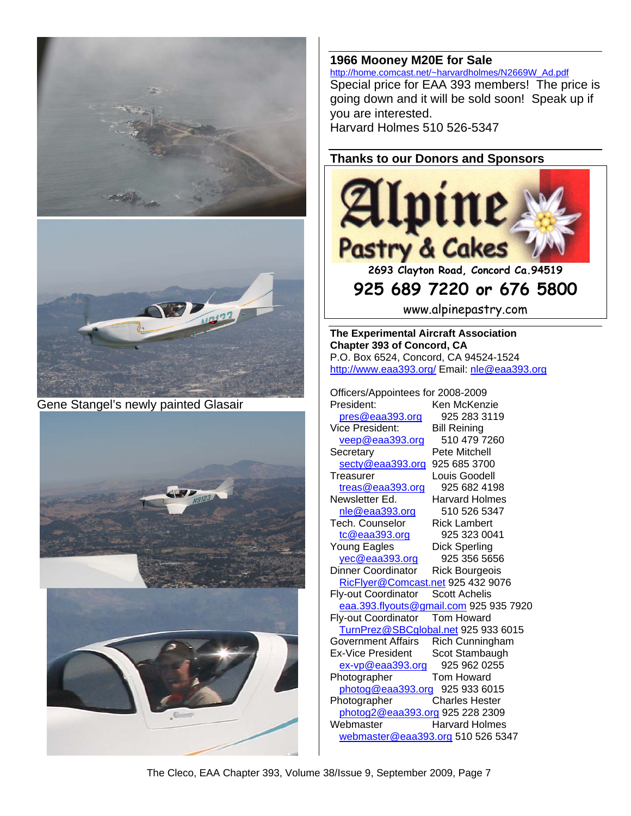



Gene Stangel's newly painted Glasair





# **1966 Mooney M20E for Sale** http://home.comcast.net/~harvardholmes/N2669W\_Ad.pdf

Special price for EAA 393 members! The price is going down and it will be sold soon! Speak up if you are interested. Harvard Holmes 510 526-5347

#### **Thanks to our Donors and Sponsors**



**925 689 7220 or 676 5800** 

www.alpinepastry.com

**The Experimental Aircraft Association Chapter 393 of Concord, CA**  P.O. Box 6524, Concord, CA 94524-1524 http://www.eaa393.org/ Email: nle@eaa393.org

Officers/Appointees for 2008-2009 President: Ken McKenzie pres@eaa393.org 925 283 3119<br>ice President: Bill Reining Vice President: Bill Reining<br>
veep @eaa393.org 510 479 7260 veep@eaa393.org Secretary Pete Mitchell secty@eaa393.org 925 685 3700 Treasurer Louis Goodell treas@eaa393.org 925 682 4198<br>Newsletter Ed. Harvard Holmes Harvard Holmes nle@eaa393.org 510 526 5347 Tech. Counselor Rick Lambert tc@eaa393.org 925 323 0041 Young Eagles Dick Sperling yec@eaa393.org 925 356 5656 Dinner Coordinator Rick Bourgeois RicFlyer@Comcast.net 925 432 9076 Fly-out Coordinator Scott Achelis eaa.393.flyouts@gmail.com 925 935 7920 Fly-out Coordinator Tom Howard TurnPrez@SBCglobal.net 925 933 6015 Government Affairs Rich Cunningham Ex-Vice President Scot Stambaugh ex-vp@eaa393.org 925 962 0255 Photographer Tom Howard photog@eaa393.org 925 933 6015 Photographer Charles Hester photog2@eaa393.org 925 228 2309 Webmaster Harvard Holmes webmaster@eaa393.org 510 526 5347

The Cleco, EAA Chapter 393, Volume 38/Issue 9, September 2009, Page 7